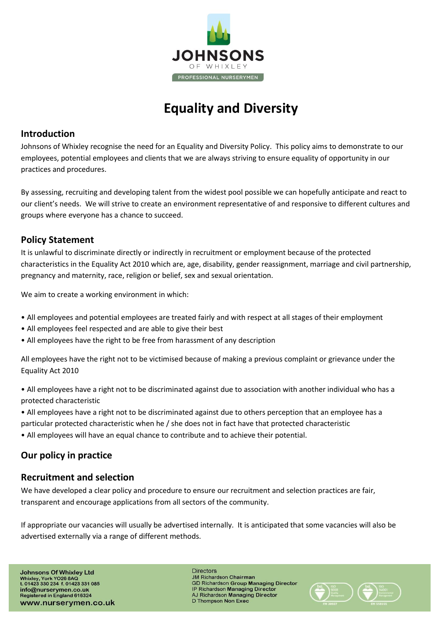

# **Equality and Diversity**

### **Introduction**

Johnsons of Whixley recognise the need for an Equality and Diversity Policy. This policy aims to demonstrate to our employees, potential employees and clients that we are always striving to ensure equality of opportunity in our practices and procedures.

By assessing, recruiting and developing talent from the widest pool possible we can hopefully anticipate and react to our client's needs. We will strive to create an environment representative of and responsive to different cultures and groups where everyone has a chance to succeed.

## **Policy Statement**

It is unlawful to discriminate directly or indirectly in recruitment or employment because of the protected characteristics in the Equality Act 2010 which are, age, disability, gender reassignment, marriage and civil partnership, pregnancy and maternity, race, religion or belief, sex and sexual orientation.

We aim to create a working environment in which:

- All employees and potential employees are treated fairly and with respect at all stages of their employment
- All employees feel respected and are able to give their best
- All employees have the right to be free from harassment of any description

All employees have the right not to be victimised because of making a previous complaint or grievance under the Equality Act 2010

• All employees have a right not to be discriminated against due to association with another individual who has a protected characteristic

• All employees have a right not to be discriminated against due to others perception that an employee has a particular protected characteristic when he / she does not in fact have that protected characteristic

• All employees will have an equal chance to contribute and to achieve their potential.

## **Our policy in practice**

### **Recruitment and selection**

We have developed a clear policy and procedure to ensure our recruitment and selection practices are fair, transparent and encourage applications from all sectors of the community.

If appropriate our vacancies will usually be advertised internally. It is anticipated that some vacancies will also be advertised externally via a range of different methods.

**Johnsons Of Whixley Ltd** Whixley, York YO26 8AQ<br>t. 01423 330 234 f. 01423 331 085 info@nurserymen.co.uk<br>Registered in England 616324 www.nurserymen.co.uk **Directors JM Richardson Chairman GD Richardson Group Managing Director**<br>IP Richardson Managing Director<br>IP Richardson Managing Director AJ Richardson Managing Director D Thompson Non Exec

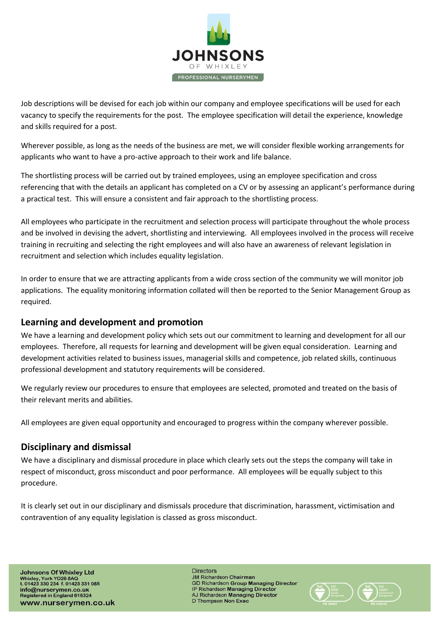

Job descriptions will be devised for each job within our company and employee specifications will be used for each vacancy to specify the requirements for the post. The employee specification will detail the experience, knowledge and skills required for a post.

Wherever possible, as long as the needs of the business are met, we will consider flexible working arrangements for applicants who want to have a pro-active approach to their work and life balance.

The shortlisting process will be carried out by trained employees, using an employee specification and cross referencing that with the details an applicant has completed on a CV or by assessing an applicant's performance during a practical test. This will ensure a consistent and fair approach to the shortlisting process.

All employees who participate in the recruitment and selection process will participate throughout the whole process and be involved in devising the advert, shortlisting and interviewing. All employees involved in the process will receive training in recruiting and selecting the right employees and will also have an awareness of relevant legislation in recruitment and selection which includes equality legislation.

In order to ensure that we are attracting applicants from a wide cross section of the community we will monitor job applications. The equality monitoring information collated will then be reported to the Senior Management Group as required.

### **Learning and development and promotion**

We have a learning and development policy which sets out our commitment to learning and development for all our employees. Therefore, all requests for learning and development will be given equal consideration. Learning and development activities related to business issues, managerial skills and competence, job related skills, continuous professional development and statutory requirements will be considered.

We regularly review our procedures to ensure that employees are selected, promoted and treated on the basis of their relevant merits and abilities.

All employees are given equal opportunity and encouraged to progress within the company wherever possible.

### **Disciplinary and dismissal**

We have a disciplinary and dismissal procedure in place which clearly sets out the steps the company will take in respect of misconduct, gross misconduct and poor performance. All employees will be equally subject to this procedure.

It is clearly set out in our disciplinary and dismissals procedure that discrimination, harassment, victimisation and contravention of any equality legislation is classed as gross misconduct.

**Directors JM Richardson Chairman GD Richardson Group Managing Director** IP Richardson Managing Director AJ Richardson Managing Director D Thompson Non Exec